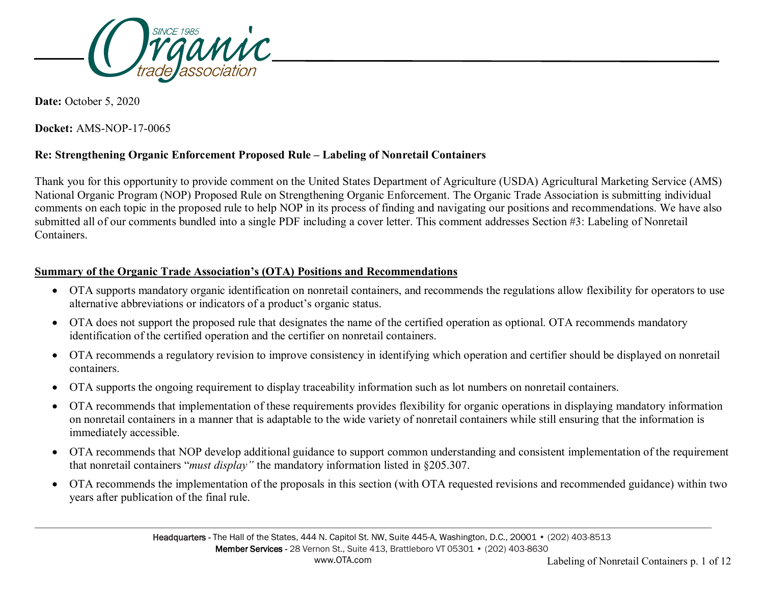

**Date:** October 5, 2020

**Docket:** AMS-NOP-17-0065

## **Re: Strengthening Organic Enforcement Proposed Rule – Labeling of Nonretail Containers**

Thank you for this opportunity to provide comment on the United States Department of Agriculture (USDA) Agricultural Marketing Service (AMS) National Organic Program (NOP) Proposed Rule on Strengthening Organic Enforcement. The Organic Trade Association is submitting individual comments on each topic in the proposed rule to help NOP in its process of finding and navigating our positions and recommendations. We have also submitted all of our comments bundled into a single PDF including a cover letter. This comment addresses Section #3: Labeling of Nonretail Containers.

#### **Summary of the Organic Trade Association's (OTA) Positions and Recommendations**

- OTA supports mandatory organic identification on nonretail containers, and recommends the regulations allow flexibility for operators to use alternative abbreviations or indicators of a product's organic status.
- OTA does not support the proposed rule that designates the name of the certified operation as optional. OTA recommends mandatory identification of the certified operation and the certifier on nonretail containers.
- OTA recommends a regulatory revision to improve consistency in identifying which operation and certifier should be displayed on nonretail containers.
- OTA supports the ongoing requirement to display traceability information such as lot numbers on nonretail containers.
- OTA recommends that implementation of these requirements provides flexibility for organic operations in displaying mandatory information on nonretail containers in a manner that is adaptable to the wide variety of nonretail containers while still ensuring that the information is immediately accessible.
- OTA recommends that NOP develop additional guidance to support common understanding and consistent implementation of the requirement that nonretail containers "*must display"* the mandatory information listed in §205.307.
- OTA recommends the implementation of the proposals in this section (with OTA requested revisions and recommended guidance) within two years after publication of the final rule.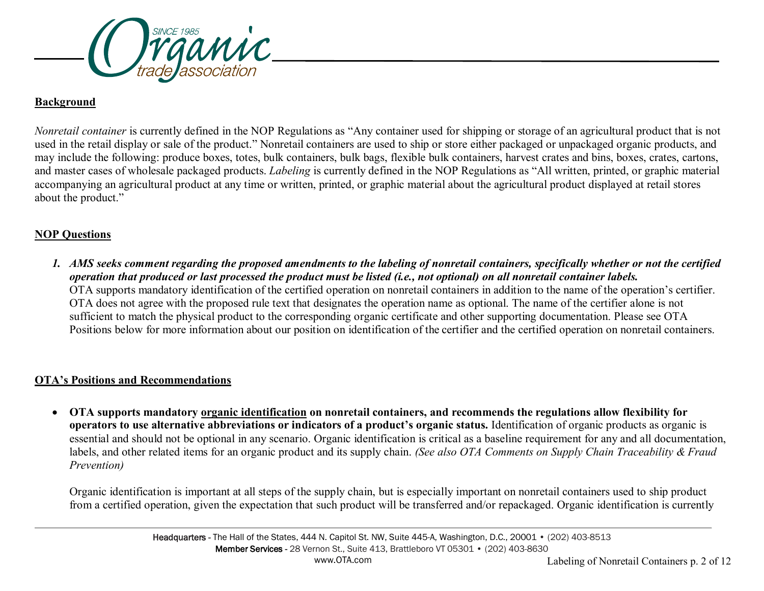

## **Background**

*Nonretail container* is currently defined in the NOP Regulations as "Any container used for shipping or storage of an agricultural product that is not used in the retail display or sale of the product." Nonretail containers are used to ship or store either packaged or unpackaged organic products, and may include the following: produce boxes, totes, bulk containers, bulk bags, flexible bulk containers, harvest crates and bins, boxes, crates, cartons, and master cases of wholesale packaged products. *Labeling* is currently defined in the NOP Regulations as "All written, printed, or graphic material accompanying an agricultural product at any time or written, printed, or graphic material about the agricultural product displayed at retail stores about the product."

# **NOP Questions**

*1. AMS seeks comment regarding the proposed amendments to the labeling of nonretail containers, specifically whether or not the certified operation that produced or last processed the product must be listed (i.e., not optional) on all nonretail container labels.* OTA supports mandatory identification of the certified operation on nonretail containers in addition to the name of the operation's certifier. OTA does not agree with the proposed rule text that designates the operation name as optional. The name of the certifier alone is not sufficient to match the physical product to the corresponding organic certificate and other supporting documentation. Please see OTA Positions below for more information about our position on identification of the certifier and the certified operation on nonretail containers.

# **OTA's Positions and Recommendations**

• **OTA supports mandatory organic identification on nonretail containers, and recommends the regulations allow flexibility for operators to use alternative abbreviations or indicators of a product's organic status.** Identification of organic products as organic is essential and should not be optional in any scenario. Organic identification is critical as a baseline requirement for any and all documentation, labels, and other related items for an organic product and its supply chain. *(See also OTA Comments on Supply Chain Traceability & Fraud Prevention)*

Organic identification is important at all steps of the supply chain, but is especially important on nonretail containers used to ship product from a certified operation, given the expectation that such product will be transferred and/or repackaged. Organic identification is currently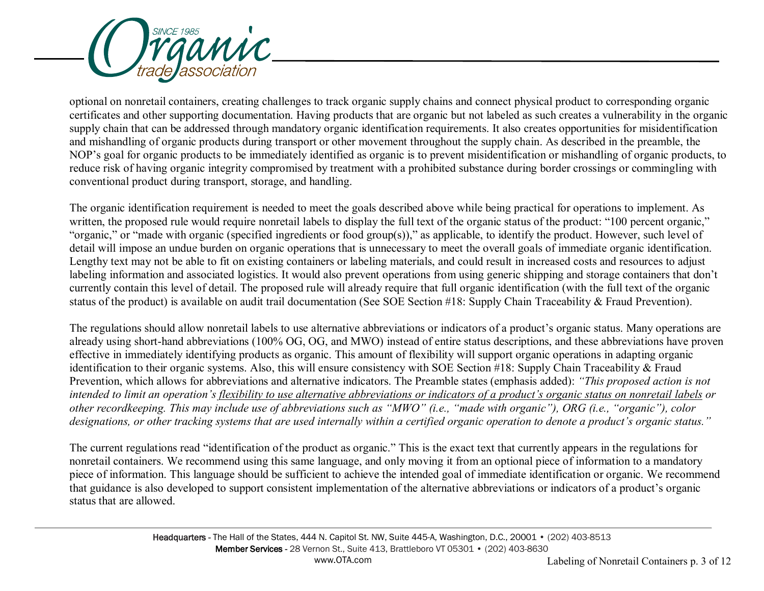

optional on nonretail containers, creating challenges to track organic supply chains and connect physical product to corresponding organic certificates and other supporting documentation. Having products that are organic but not labeled as such creates a vulnerability in the organic supply chain that can be addressed through mandatory organic identification requirements. It also creates opportunities for misidentification and mishandling of organic products during transport or other movement throughout the supply chain. As described in the preamble, the NOP's goal for organic products to be immediately identified as organic is to prevent misidentification or mishandling of organic products, to reduce risk of having organic integrity compromised by treatment with a prohibited substance during border crossings or commingling with conventional product during transport, storage, and handling.

The organic identification requirement is needed to meet the goals described above while being practical for operations to implement. As written, the proposed rule would require nonretail labels to display the full text of the organic status of the product: "100 percent organic," "organic," or "made with organic (specified ingredients or food group(s))," as applicable, to identify the product. However, such level of detail will impose an undue burden on organic operations that is unnecessary to meet the overall goals of immediate organic identification. Lengthy text may not be able to fit on existing containers or labeling materials, and could result in increased costs and resources to adjust labeling information and associated logistics. It would also prevent operations from using generic shipping and storage containers that don't currently contain this level of detail. The proposed rule will already require that full organic identification (with the full text of the organic status of the product) is available on audit trail documentation (See SOE Section #18: Supply Chain Traceability & Fraud Prevention).

The regulations should allow nonretail labels to use alternative abbreviations or indicators of a product's organic status. Many operations are already using short-hand abbreviations (100% OG, OG, and MWO) instead of entire status descriptions, and these abbreviations have proven effective in immediately identifying products as organic. This amount of flexibility will support organic operations in adapting organic identification to their organic systems. Also, this will ensure consistency with SOE Section #18: Supply Chain Traceability & Fraud Prevention, which allows for abbreviations and alternative indicators. The Preamble states (emphasis added): *"This proposed action is not intended to limit an operation's flexibility to use alternative abbreviations or indicators of a product's organic status on nonretail labels or other recordkeeping. This may include use of abbreviations such as "MWO" (i.e., "made with organic"), ORG (i.e., "organic"), color designations, or other tracking systems that are used internally within a certified organic operation to denote a product's organic status."*

The current regulations read "identification of the product as organic." This is the exact text that currently appears in the regulations for nonretail containers. We recommend using this same language, and only moving it from an optional piece of information to a mandatory piece of information. This language should be sufficient to achieve the intended goal of immediate identification or organic. We recommend that guidance is also developed to support consistent implementation of the alternative abbreviations or indicators of a product's organic status that are allowed.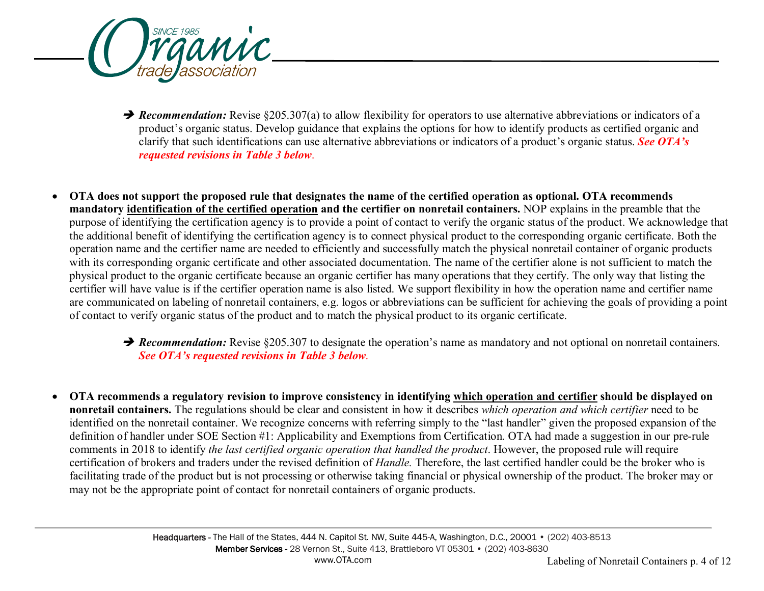

**→ Recommendation:** Revise §205.307(a) to allow flexibility for operators to use alternative abbreviations or indicators of a product's organic status. Develop guidance that explains the options for how to identify products as certified organic and clarify that such identifications can use alternative abbreviations or indicators of a product's organic status. *See OTA's requested revisions in Table 3 below*.

• **OTA does not support the proposed rule that designates the name of the certified operation as optional. OTA recommends mandatory identification of the certified operation and the certifier on nonretail containers.** NOP explains in the preamble that the purpose of identifying the certification agency is to provide a point of contact to verify the organic status of the product. We acknowledge that the additional benefit of identifying the certification agency is to connect physical product to the corresponding organic certificate. Both the operation name and the certifier name are needed to efficiently and successfully match the physical nonretail container of organic products with its corresponding organic certificate and other associated documentation. The name of the certifier alone is not sufficient to match the physical product to the organic certificate because an organic certifier has many operations that they certify. The only way that listing the certifier will have value is if the certifier operation name is also listed. We support flexibility in how the operation name and certifier name are communicated on labeling of nonretail containers, e.g. logos or abbreviations can be sufficient for achieving the goals of providing a point of contact to verify organic status of the product and to match the physical product to its organic certificate.

### **→ Recommendation:** Revise §205.307 to designate the operation's name as mandatory and not optional on nonretail containers. *See OTA's requested revisions in Table 3 below*.

• **OTA recommends a regulatory revision to improve consistency in identifying which operation and certifier should be displayed on nonretail containers.** The regulations should be clear and consistent in how it describes *which operation and which certifier* need to be identified on the nonretail container. We recognize concerns with referring simply to the "last handler" given the proposed expansion of the definition of handler under SOE Section #1: Applicability and Exemptions from Certification. OTA had made a suggestion in our pre-rule comments in 2018 to identify *the last certified organic operation that handled the product*. However, the proposed rule will require certification of brokers and traders under the revised definition of *Handle.* Therefore, the last certified handler could be the broker who is facilitating trade of the product but is not processing or otherwise taking financial or physical ownership of the product. The broker may or may not be the appropriate point of contact for nonretail containers of organic products.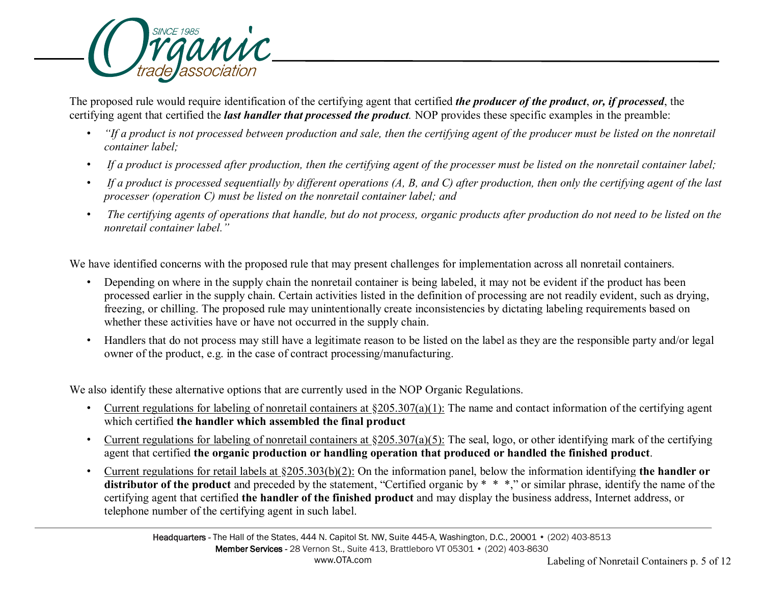

The proposed rule would require identification of the certifying agent that certified *the producer of the product*, *or, if processed*, the certifying agent that certified the *last handler that processed the product.* NOP provides these specific examples in the preamble:

- *"If a product is not processed between production and sale, then the certifying agent of the producer must be listed on the nonretail container label;*
- *If a product is processed after production, then the certifying agent of the processer must be listed on the nonretail container label;*
- *If a product is processed sequentially by different operations (A, B, and C) after production, then only the certifying agent of the last processer (operation C) must be listed on the nonretail container label; and*
- *The certifying agents of operations that handle, but do not process, organic products after production do not need to be listed on the nonretail container label."*

We have identified concerns with the proposed rule that may present challenges for implementation across all nonretail containers.

- Depending on where in the supply chain the nonretail container is being labeled, it may not be evident if the product has been processed earlier in the supply chain. Certain activities listed in the definition of processing are not readily evident, such as drying, freezing, or chilling. The proposed rule may unintentionally create inconsistencies by dictating labeling requirements based on whether these activities have or have not occurred in the supply chain.
- Handlers that do not process may still have a legitimate reason to be listed on the label as they are the responsible party and/or legal owner of the product, e.g. in the case of contract processing/manufacturing.

We also identify these alternative options that are currently used in the NOP Organic Regulations.

- Current regulations for labeling of nonretail containers at  $\S205.307(a)(1)$ : The name and contact information of the certifying agent which certified **the handler which assembled the final product**
- Current regulations for labeling of nonretail containers at  $\S205.307(a)(5)$ : The seal, logo, or other identifying mark of the certifying agent that certified **the organic production or handling operation that produced or handled the finished product**.
- Current regulations for retail labels at §205.303(b)(2): On the information panel, below the information identifying **the handler or distributor of the product** and preceded by the statement, "Certified organic by \* \* \*," or similar phrase, identify the name of the certifying agent that certified **the handler of the finished product** and may display the business address, Internet address, or telephone number of the certifying agent in such label.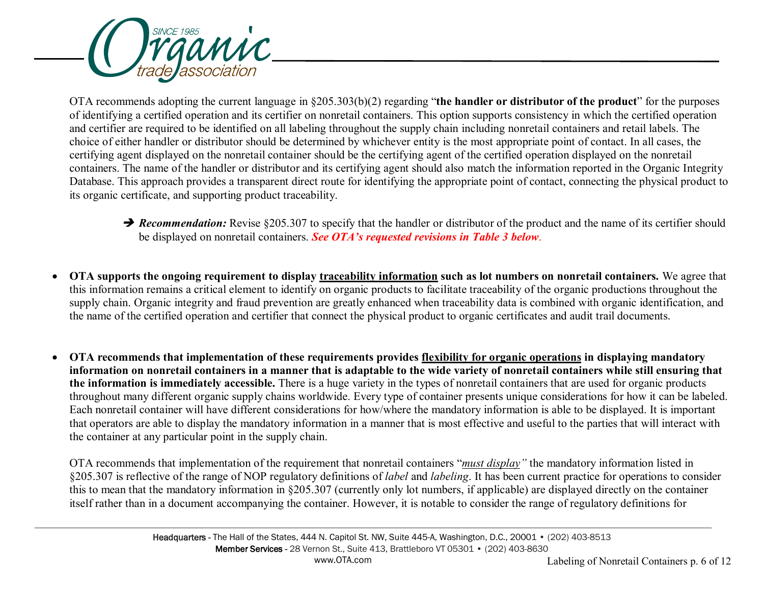

OTA recommends adopting the current language in §205.303(b)(2) regarding "**the handler or distributor of the product**" for the purposes of identifying a certified operation and its certifier on nonretail containers. This option supports consistency in which the certified operation and certifier are required to be identified on all labeling throughout the supply chain including nonretail containers and retail labels. The choice of either handler or distributor should be determined by whichever entity is the most appropriate point of contact. In all cases, the certifying agent displayed on the nonretail container should be the certifying agent of the certified operation displayed on the nonretail containers. The name of the handler or distributor and its certifying agent should also match the information reported in the Organic Integrity Database. This approach provides a transparent direct route for identifying the appropriate point of contact, connecting the physical product to its organic certificate, and supporting product traceability.

- **→ Recommendation:** Revise §205.307 to specify that the handler or distributor of the product and the name of its certifier should be displayed on nonretail containers. *See OTA's requested revisions in Table 3 below*.
- **OTA supports the ongoing requirement to display traceability information such as lot numbers on nonretail containers.** We agree that this information remains a critical element to identify on organic products to facilitate traceability of the organic productions throughout the supply chain. Organic integrity and fraud prevention are greatly enhanced when traceability data is combined with organic identification, and the name of the certified operation and certifier that connect the physical product to organic certificates and audit trail documents.
- **OTA recommends that implementation of these requirements provides flexibility for organic operations in displaying mandatory information on nonretail containers in a manner that is adaptable to the wide variety of nonretail containers while still ensuring that the information is immediately accessible.** There is a huge variety in the types of nonretail containers that are used for organic products throughout many different organic supply chains worldwide. Every type of container presents unique considerations for how it can be labeled. Each nonretail container will have different considerations for how/where the mandatory information is able to be displayed. It is important that operators are able to display the mandatory information in a manner that is most effective and useful to the parties that will interact with the container at any particular point in the supply chain.

OTA recommends that implementation of the requirement that nonretail containers "*must display"* the mandatory information listed in §205.307 is reflective of the range of NOP regulatory definitions of *label* and *labeling*. It has been current practice for operations to consider this to mean that the mandatory information in §205.307 (currently only lot numbers, if applicable) are displayed directly on the container itself rather than in a document accompanying the container. However, it is notable to consider the range of regulatory definitions for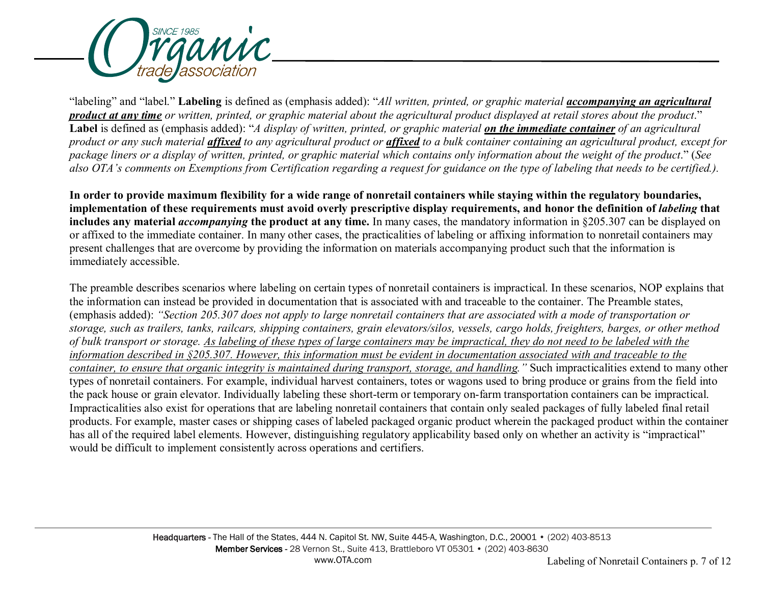

"labeling" and "label." **Labeling** is defined as (emphasis added): "*All written, printed, or graphic material accompanying an agricultural product at any time or written, printed, or graphic material about the agricultural product displayed at retail stores about the product*." **Label** is defined as (emphasis added): "*A display of written, printed, or graphic material on the immediate container of an agricultural product or any such material affixed to any agricultural product or affixed to a bulk container containing an agricultural product, except for package liners or a display of written, printed, or graphic material which contains only information about the weight of the product*." (*See*  also OTA's comments on Exemptions from Certification regarding a request for guidance on the type of labeling that needs to be certified.).

**In order to provide maximum flexibility for a wide range of nonretail containers while staying within the regulatory boundaries,**  implementation of these requirements must avoid overly prescriptive display requirements, and honor the definition of *labeling* that **includes any material** *accompanying* **the product at any time.** In many cases, the mandatory information in §205.307 can be displayed on or affixed to the immediate container. In many other cases, the practicalities of labeling or affixing information to nonretail containers may present challenges that are overcome by providing the information on materials accompanying product such that the information is immediately accessible.

The preamble describes scenarios where labeling on certain types of nonretail containers is impractical. In these scenarios, NOP explains that the information can instead be provided in documentation that is associated with and traceable to the container. The Preamble states, (emphasis added): *"Section 205.307 does not apply to large nonretail containers that are associated with a mode of transportation or storage, such as trailers, tanks, railcars, shipping containers, grain elevators/silos, vessels, cargo holds, freighters, barges, or other method of bulk transport or storage. As labeling of these types of large containers may be impractical, they do not need to be labeled with the information described in §205.307. However, this information must be evident in documentation associated with and traceable to the container, to ensure that organic integrity is maintained during transport, storage, and handling."* Such impracticalities extend to many other types of nonretail containers. For example, individual harvest containers, totes or wagons used to bring produce or grains from the field into the pack house or grain elevator. Individually labeling these short-term or temporary on-farm transportation containers can be impractical. Impracticalities also exist for operations that are labeling nonretail containers that contain only sealed packages of fully labeled final retail products. For example, master cases or shipping cases of labeled packaged organic product wherein the packaged product within the container has all of the required label elements. However, distinguishing regulatory applicability based only on whether an activity is "impractical" would be difficult to implement consistently across operations and certifiers.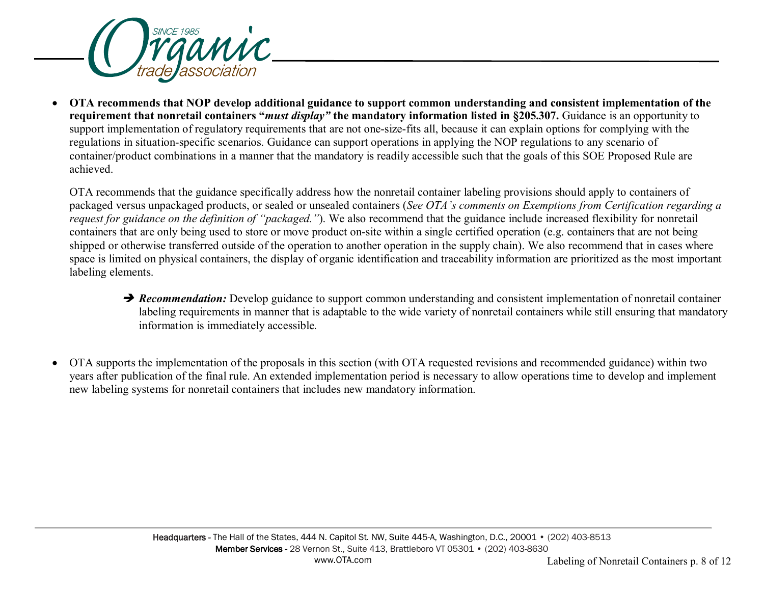

• **OTA recommends that NOP develop additional guidance to support common understanding and consistent implementation of the requirement that nonretail containers "***must display"* **the mandatory information listed in §205.307.** Guidance is an opportunity to support implementation of regulatory requirements that are not one-size-fits all, because it can explain options for complying with the regulations in situation-specific scenarios. Guidance can support operations in applying the NOP regulations to any scenario of container/product combinations in a manner that the mandatory is readily accessible such that the goals of this SOE Proposed Rule are achieved.

OTA recommends that the guidance specifically address how the nonretail container labeling provisions should apply to containers of packaged versus unpackaged products, or sealed or unsealed containers (*See OTA's comments on Exemptions from Certification regarding a request for guidance on the definition of "packaged."*). We also recommend that the guidance include increased flexibility for nonretail containers that are only being used to store or move product on-site within a single certified operation (e.g. containers that are not being shipped or otherwise transferred outside of the operation to another operation in the supply chain). We also recommend that in cases where space is limited on physical containers, the display of organic identification and traceability information are prioritized as the most important labeling elements.

- **→ Recommendation:** Develop guidance to support common understanding and consistent implementation of nonretail container labeling requirements in manner that is adaptable to the wide variety of nonretail containers while still ensuring that mandatory information is immediately accessible*.*
- OTA supports the implementation of the proposals in this section (with OTA requested revisions and recommended guidance) within two years after publication of the final rule. An extended implementation period is necessary to allow operations time to develop and implement new labeling systems for nonretail containers that includes new mandatory information.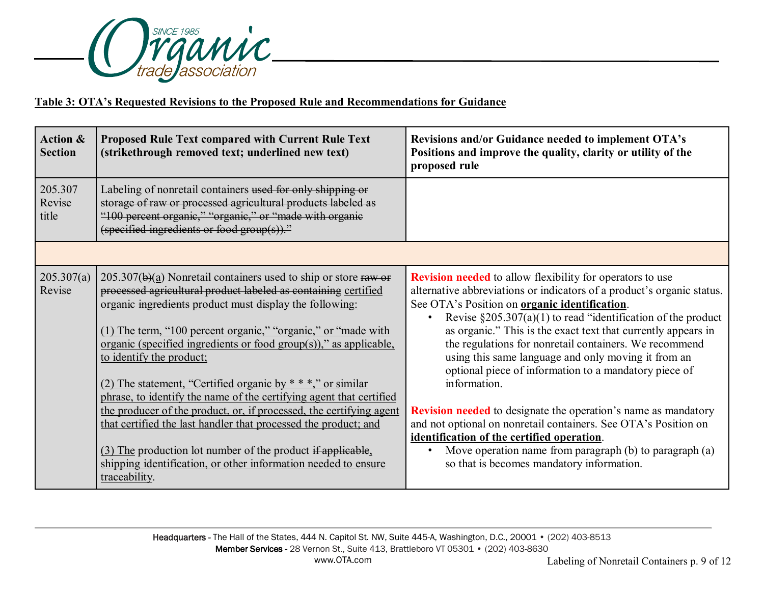

## **Table 3: OTA's Requested Revisions to the Proposed Rule and Recommendations for Guidance**

| <b>Action &amp;</b><br><b>Section</b> | Proposed Rule Text compared with Current Rule Text<br>(strikethrough removed text; underlined new text)                                                                                                                                                                                                                                                                                                                                                                                                                                                                                                                                          | Revisions and/or Guidance needed to implement OTA's<br>Positions and improve the quality, clarity or utility of the<br>proposed rule                                                                                                                                                                                                                                                                                                                                                                                                                                                                                                                                                                                                      |
|---------------------------------------|--------------------------------------------------------------------------------------------------------------------------------------------------------------------------------------------------------------------------------------------------------------------------------------------------------------------------------------------------------------------------------------------------------------------------------------------------------------------------------------------------------------------------------------------------------------------------------------------------------------------------------------------------|-------------------------------------------------------------------------------------------------------------------------------------------------------------------------------------------------------------------------------------------------------------------------------------------------------------------------------------------------------------------------------------------------------------------------------------------------------------------------------------------------------------------------------------------------------------------------------------------------------------------------------------------------------------------------------------------------------------------------------------------|
| 205.307<br>Revise<br>title            | Labeling of nonretail containers used for only shipping or<br>storage of raw or processed agricultural products labeled as<br>"100 percent organic," "organic," or "made with organic<br>(specified ingredients or food group $(s)$ )."                                                                                                                                                                                                                                                                                                                                                                                                          |                                                                                                                                                                                                                                                                                                                                                                                                                                                                                                                                                                                                                                                                                                                                           |
|                                       |                                                                                                                                                                                                                                                                                                                                                                                                                                                                                                                                                                                                                                                  |                                                                                                                                                                                                                                                                                                                                                                                                                                                                                                                                                                                                                                                                                                                                           |
| 205.307(a)<br>Revise                  | $205.307(b)(a)$ Nonretail containers used to ship or store raw or<br>processed agricultural product labeled as containing certified<br>organic ingredients product must display the following:<br>(1) The term, "100 percent organic," "organic," or "made with<br>organic (specified ingredients or food group(s))," as applicable,<br>to identify the product;<br>(2) The statement, "Certified organic by $***$ " or similar<br>phrase, to identify the name of the certifying agent that certified<br>the producer of the product, or, if processed, the certifying agent<br>that certified the last handler that processed the product; and | <b>Revision needed</b> to allow flexibility for operators to use<br>alternative abbreviations or indicators of a product's organic status.<br>See OTA's Position on <b>organic identification</b> .<br>Revise $\S 205.307(a)(1)$ to read "identification of the product<br>$\bullet$<br>as organic." This is the exact text that currently appears in<br>the regulations for nonretail containers. We recommend<br>using this same language and only moving it from an<br>optional piece of information to a mandatory piece of<br>information.<br><b>Revision needed</b> to designate the operation's name as mandatory<br>and not optional on nonretail containers. See OTA's Position on<br>identification of the certified operation. |
|                                       | (3) The production lot number of the product if applicable,<br>shipping identification, or other information needed to ensure<br>traceability.                                                                                                                                                                                                                                                                                                                                                                                                                                                                                                   | Move operation name from paragraph (b) to paragraph (a)<br>$\bullet$<br>so that is becomes mandatory information.                                                                                                                                                                                                                                                                                                                                                                                                                                                                                                                                                                                                                         |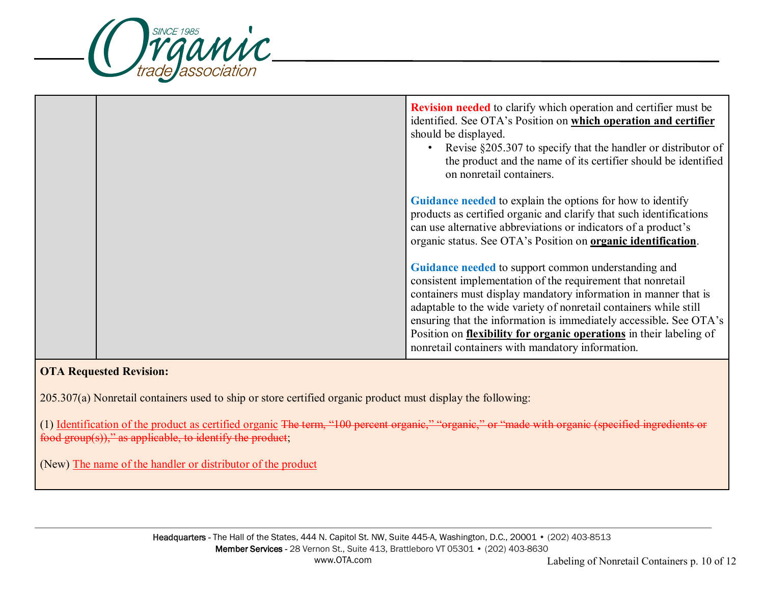

|  | <b>Revision needed</b> to clarify which operation and certifier must be<br>identified. See OTA's Position on which operation and certifier<br>should be displayed.<br>Revise §205.307 to specify that the handler or distributor of<br>the product and the name of its certifier should be identified<br>on nonretail containers.                                                                                                                           |
|--|-------------------------------------------------------------------------------------------------------------------------------------------------------------------------------------------------------------------------------------------------------------------------------------------------------------------------------------------------------------------------------------------------------------------------------------------------------------|
|  | Guidance needed to explain the options for how to identify<br>products as certified organic and clarify that such identifications<br>can use alternative abbreviations or indicators of a product's<br>organic status. See OTA's Position on organic identification.                                                                                                                                                                                        |
|  | Guidance needed to support common understanding and<br>consistent implementation of the requirement that nonretail<br>containers must display mandatory information in manner that is<br>adaptable to the wide variety of nonretail containers while still<br>ensuring that the information is immediately accessible. See OTA's<br>Position on flexibility for organic operations in their labeling of<br>nonretail containers with mandatory information. |

### **OTA Requested Revision:**

205.307(a) Nonretail containers used to ship or store certified organic product must display the following:

(1) Identification of the product as certified organic The term, "100 percent organie," "organie," or "made with organic (specified ingredients or food group(s))," as applicable, to identify the product;

(New) The name of the handler or distributor of the product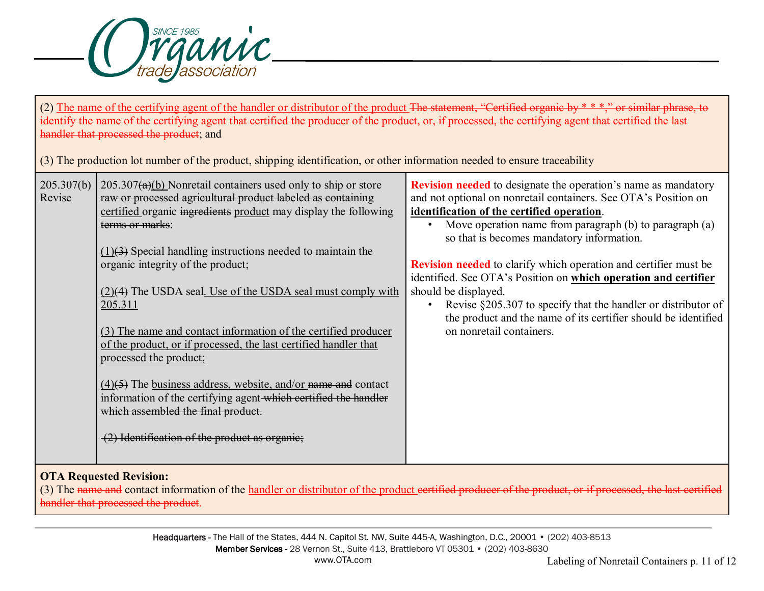

(2) The name of the certifying agent of the handler or distributor of the product The statement, "Certified organic by  $* * *$ ," or similar phrase, to identify the name of the certifying agent that certified the producer of the product, or, if processed, the certifying agent that certified the last handler that processed the product; and (3) The production lot number of the product, shipping identification, or other information needed to ensure traceability 205.307(b) Revise  $205.307(a)(b)$  Nonretail containers used only to ship or store raw or processed agricultural product labeled as containing certified organic ingredients product may display the following terms or marks:  $(1)(3)$  Special handling instructions needed to maintain the organic integrity of the product; (2)(4) The USDA seal. Use of the USDA seal must comply with 205.311 (3) The name and contact information of the certified producer of the product, or if processed, the last certified handler that processed the product;  $(4)(\overline{5})$  The business address, website, and/or name and contact information of the certifying agent which certified the handler which assembled the final product. (2) Identification of the product as organic; **Revision needed** to designate the operation's name as mandatory and not optional on nonretail containers. See OTA's Position on **identification of the certified operation**. Move operation name from paragraph (b) to paragraph (a) so that is becomes mandatory information. **Revision needed** to clarify which operation and certifier must be identified. See OTA's Position on **which operation and certifier**  should be displayed. • Revise §205.307 to specify that the handler or distributor of the product and the name of its certifier should be identified on nonretail containers.

# **OTA Requested Revision:**

(3) The name and contact information of the handler or distributor of the product eertified producer of the product, or if processed, the last certified handler that processed the product.

> Headquarters - The Hall of the States, 444 N. Capitol St. NW, Suite 445-A, Washington, D.C., 20001 • (202) 403-8513 Member Services - 28 Vernon St., Suite 413, Brattleboro VT 05301 • (202) 403-8630